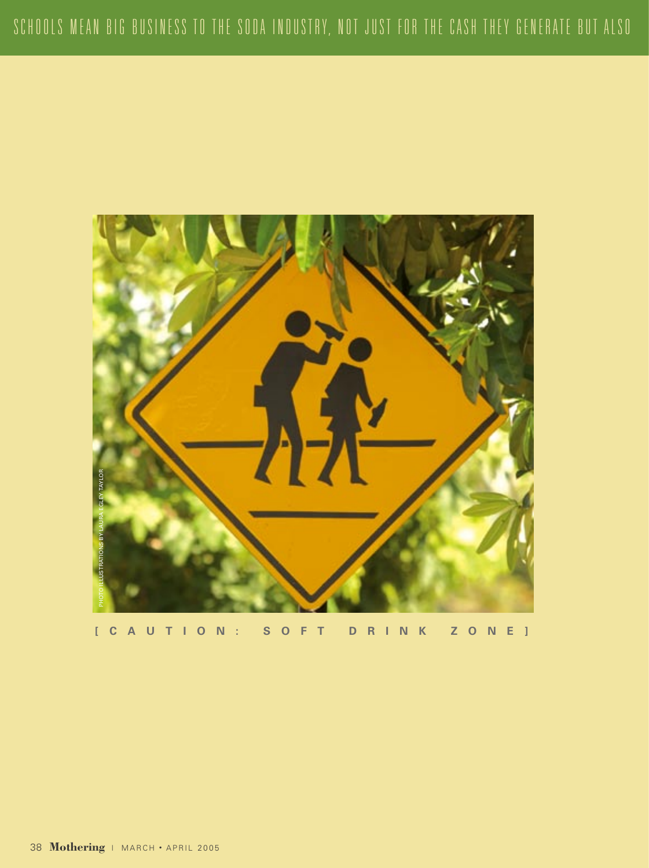

**[ C A U T I O N : S O F T D R I N K Z O N E ]**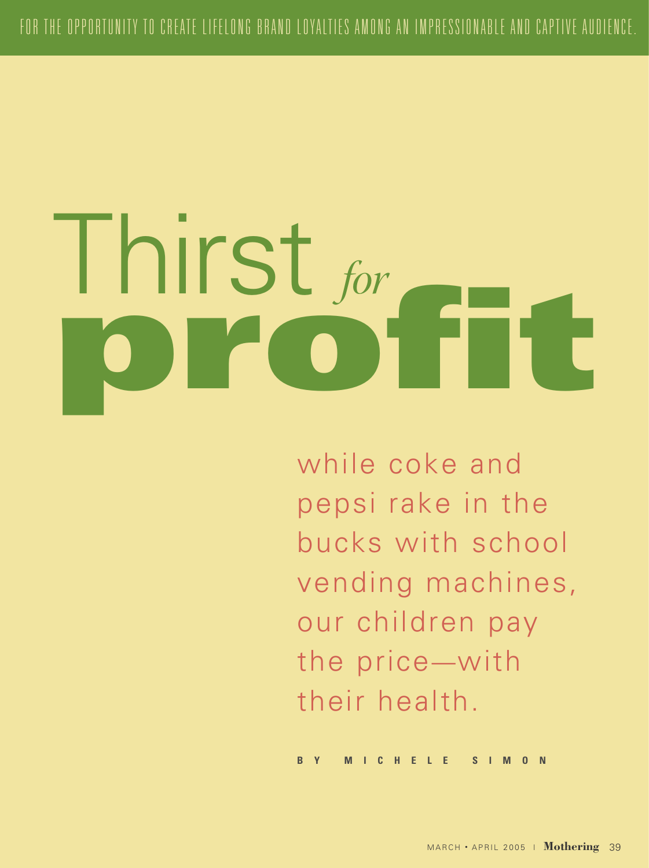# I hirst for

while coke and pepsi rake in the bucks with school vending machines, our children pay the price—with their health.

**B Y M I C H E L E S I M O N**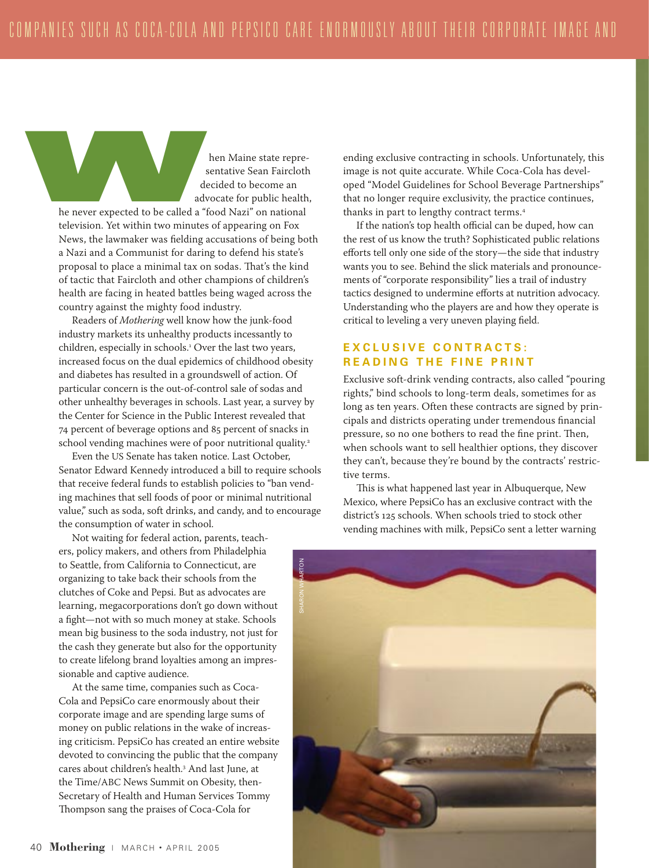hen Maine state representative Sean Faircloth decided to become an advocate for public health, he never expected to be called a "food Nazi" on national s<br>
we depend to be called a "frequencies" by the never expected to be called a "frequencies" of the state of the state of the state of the state of the state of the state of the state of the state of the state of the state

television. Yet within two minutes of appearing on Fox News, the lawmaker was fielding accusations of being both a Nazi and a Communist for daring to defend his state's proposal to place a minimal tax on sodas. That's the kind of tactic that Faircloth and other champions of children's health are facing in heated battles being waged across the country against the mighty food industry.

Readers of *Mothering* well know how the junk-food industry markets its unhealthy products incessantly to children, especially in schools. Over the last two years, increased focus on the dual epidemics of childhood obesity and diabetes has resulted in a groundswell of action. Of particular concern is the out-of-control sale of sodas and other unhealthy beverages in schools. Last year, a survey by the Center for Science in the Public Interest revealed that 74 percent of beverage options and 85 percent of snacks in school vending machines were of poor nutritional quality.<sup>2</sup>

Even the US Senate has taken notice. Last October, Senator Edward Kennedy introduced a bill to require schools that receive federal funds to establish policies to "ban vending machines that sell foods of poor or minimal nutritional value," such as soda, soft drinks, and candy, and to encourage the consumption of water in school.

Not waiting for federal action, parents, teachers, policy makers, and others from Philadelphia to Seattle, from California to Connecticut, are organizing to take back their schools from the clutches of Coke and Pepsi. But as advocates are learning, megacorporations don't go down without a fight—not with so much money at stake. Schools mean big business to the soda industry, not just for the cash they generate but also for the opportunity to create lifelong brand loyalties among an impressionable and captive audience.

At the same time, companies such as Coca-Cola and PepsiCo care enormously about their corporate image and are spending large sums of money on public relations in the wake of increasing criticism. PepsiCo has created an entire website devoted to convincing the public that the company cares about children's health.3 And last June, at the Time/ABC News Summit on Obesity, then-Secretary of Health and Human Services Tommy Thompson sang the praises of Coca-Cola for

ending exclusive contracting in schools. Unfortunately, this image is not quite accurate. While Coca-Cola has developed "Model Guidelines for School Beverage Partnerships" that no longer require exclusivity, the practice continues, thanks in part to lengthy contract terms.<sup>4</sup>

If the nation's top health official can be duped, how can the rest of us know the truth? Sophisticated public relations efforts tell only one side of the story—the side that industry wants you to see. Behind the slick materials and pronouncements of "corporate responsibility" lies a trail of industry tactics designed to undermine efforts at nutrition advocacy. Understanding who the players are and how they operate is critical to leveling a very uneven playing field.

### **E X C L U S I V E C O N T R A C T S : READING THE FINE PRINT**

Exclusive soft-drink vending contracts, also called "pouring rights," bind schools to long-term deals, sometimes for as long as ten years. Often these contracts are signed by principals and districts operating under tremendous financial pressure, so no one bothers to read the fine print. Then, when schools want to sell healthier options, they discover they can't, because they're bound by the contracts' restrictive terms.

This is what happened last year in Albuquerque, New Mexico, where PepsiCo has an exclusive contract with the district's 125 schools. When schools tried to stock other vending machines with milk, PepsiCo sent a letter warning

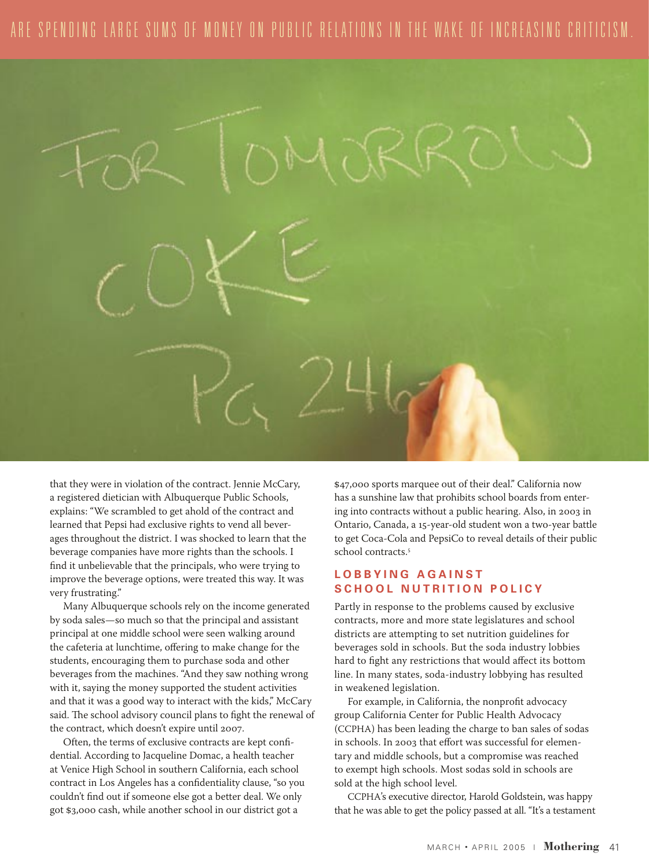# ARE SPENDING LARGE SUMS OF MONEY ON PUBLIC RELATIONS IN THE WAKE OF INCREASING CRITICISM



that they were in violation of the contract. Jennie McCary, a registered dietician with Albuquerque Public Schools, explains: "We scrambled to get ahold of the contract and learned that Pepsi had exclusive rights to vend all beverages throughout the district. I was shocked to learn that the beverage companies have more rights than the schools. I find it unbelievable that the principals, who were trying to improve the beverage options, were treated this way. It was very frustrating."

Many Albuquerque schools rely on the income generated by soda sales—so much so that the principal and assistant principal at one middle school were seen walking around the cafeteria at lunchtime, offering to make change for the students, encouraging them to purchase soda and other beverages from the machines. "And they saw nothing wrong with it, saying the money supported the student activities and that it was a good way to interact with the kids," McCary said. The school advisory council plans to fight the renewal of the contract, which doesn't expire until 2007.

Often, the terms of exclusive contracts are kept confidential. According to Jacqueline Domac, a health teacher at Venice High School in southern California, each school contract in Los Angeles has a confidentiality clause, "so you couldn't find out if someone else got a better deal. We only got \$3,000 cash, while another school in our district got a

\$47,000 sports marquee out of their deal." California now has a sunshine law that prohibits school boards from entering into contracts without a public hearing. Also, in 2003 in Ontario, Canada, a 15-year-old student won a two-year battle to get Coca-Cola and PepsiCo to reveal details of their public school contracts.<sup>5</sup>

### **L O B B Y I N G A G A I N S T SCHOOL NUTRITION POLICY**

Partly in response to the problems caused by exclusive contracts, more and more state legislatures and school districts are attempting to set nutrition guidelines for beverages sold in schools. But the soda industry lobbies hard to fight any restrictions that would affect its bottom line. In many states, soda-industry lobbying has resulted in weakened legislation.

For example, in California, the nonprofit advocacy group California Center for Public Health Advocacy (CCPHA) has been leading the charge to ban sales of sodas in schools. In 2003 that effort was successful for elementary and middle schools, but a compromise was reached to exempt high schools. Most sodas sold in schools are sold at the high school level.

CCPHA's executive director, Harold Goldstein, was happy that he was able to get the policy passed at all. "It's a testament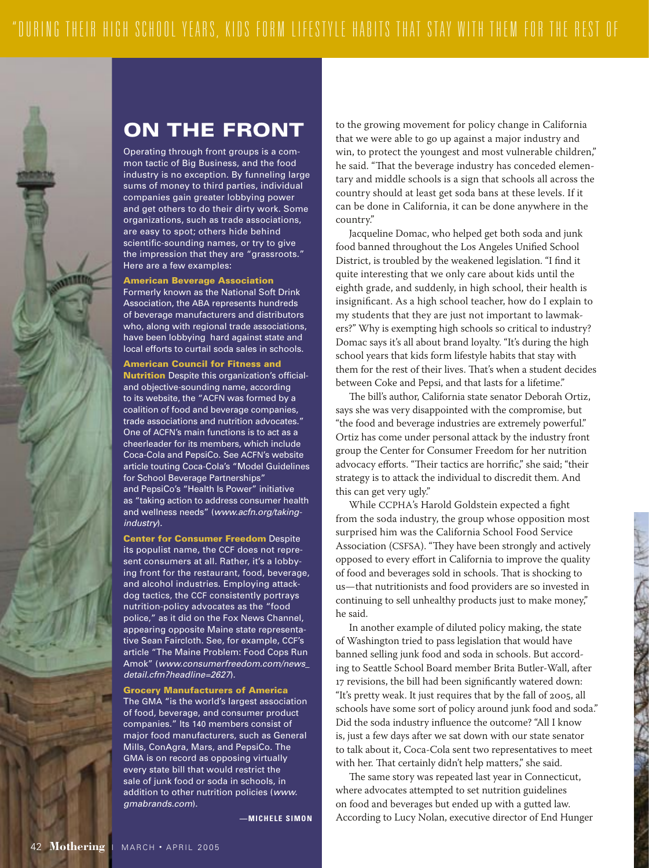

## ON THE FRONT

Operating through front groups is a common tactic of Big Business, and the food industry is no exception. By funneling large sums of money to third parties, individual companies gain greater lobbying power and get others to do their dirty work. Some organizations, such as trade associations, are easy to spot; others hide behind scientific-sounding names, or try to give the impression that they are "grassroots." Here are a few examples:

American Beverage Association Formerly known as the National Soft Drink Association, the ABA represents hundreds of beverage manufacturers and distributors who, along with regional trade associations, have been lobbying hard against state and local efforts to curtail soda sales in schools.

### American Council for Fitness and

**Nutrition** Despite this organization's officialand objective-sounding name, according to its website, the "ACFN was formed by a coalition of food and beverage companies, trade associations and nutrition advocates." One of ACFN's main functions is to act as a cheerleader for its members, which include Coca-Cola and PepsiCo. See ACFN's website article touting Coca-Cola's "Model Guidelines for School Beverage Partnerships" and PepsiCo's "Health Is Power" initiative as "taking action to address consumer health and wellness needs" (www.acfn.org/takingindustry).

Center for Consumer Freedom Despite its populist name, the CCF does not represent consumers at all. Rather, it's a lobbying front for the restaurant, food, beverage, and alcohol industries. Employing attackdog tactics, the CCF consistently portrays nutrition-policy advocates as the "food police," as it did on the Fox News Channel, appearing opposite Maine state representative Sean Faircloth. See, for example, CCF's article "The Maine Problem: Food Cops Run Amok" (www.consumerfreedom.com/news\_ detail.cfm?headline=2627).

Grocery Manufacturers of America The GMA "is the world's largest association of food, beverage, and consumer product companies." Its 140 members consist of major food manufacturers, such as General Mills, ConAgra, Mars, and PepsiCo. The GMA is on record as opposing virtually every state bill that would restrict the sale of junk food or soda in schools, in addition to other nutrition policies (www. gmabrands.com).

 $-$ **MICHELE SIMON** 

to the growing movement for policy change in California that we were able to go up against a major industry and win, to protect the youngest and most vulnerable children," he said. "That the beverage industry has conceded elementary and middle schools is a sign that schools all across the country should at least get soda bans at these levels. If it can be done in California, it can be done anywhere in the country."

Jacqueline Domac, who helped get both soda and junk food banned throughout the Los Angeles Unified School District, is troubled by the weakened legislation. "I find it quite interesting that we only care about kids until the eighth grade, and suddenly, in high school, their health is insignificant. As a high school teacher, how do I explain to my students that they are just not important to lawmakers?" Why is exempting high schools so critical to industry? Domac says it's all about brand loyalty. "It's during the high school years that kids form lifestyle habits that stay with them for the rest of their lives. That's when a student decides between Coke and Pepsi, and that lasts for a lifetime."

The bill's author, California state senator Deborah Ortiz, says she was very disappointed with the compromise, but "the food and beverage industries are extremely powerful." Ortiz has come under personal attack by the industry front group the Center for Consumer Freedom for her nutrition advocacy efforts. "Their tactics are horrific," she said; "their strategy is to attack the individual to discredit them. And this can get very ugly."

While CCPHA's Harold Goldstein expected a fight from the soda industry, the group whose opposition most surprised him was the California School Food Service Association (CSFSA). "They have been strongly and actively opposed to every effort in California to improve the quality of food and beverages sold in schools. That is shocking to us—that nutritionists and food providers are so invested in continuing to sell unhealthy products just to make money," he said.

In another example of diluted policy making, the state of Washington tried to pass legislation that would have banned selling junk food and soda in schools. But according to Seattle School Board member Brita Butler-Wall, after 7 revisions, the bill had been significantly watered down: "It's pretty weak. It just requires that by the fall of 2005, all schools have some sort of policy around junk food and soda." Did the soda industry influence the outcome? "All I know is, just a few days after we sat down with our state senator to talk about it, Coca-Cola sent two representatives to meet with her. That certainly didn't help matters," she said.

The same story was repeated last year in Connecticut, where advocates attempted to set nutrition guidelines on food and beverages but ended up with a gutted law. According to Lucy Nolan, executive director of End Hunger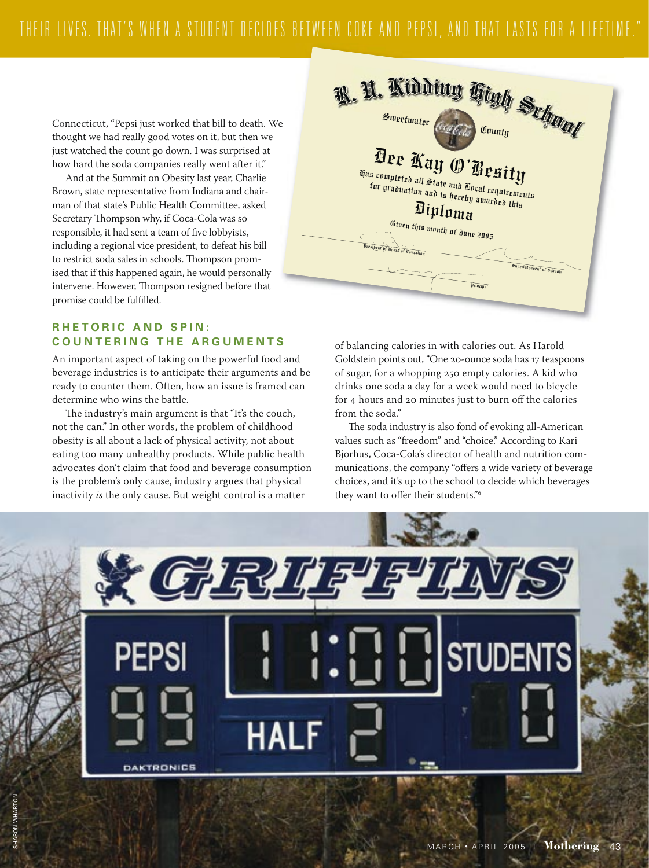Connecticut, "Pepsi just worked that bill to death. We thought we had really good votes on it, but then we just watched the count go down. I was surprised at how hard the soda companies really went after it."

And at the Summit on Obesity last year, Charlie Brown, state representative from Indiana and chairman of that state's Public Health Committee, asked Secretary Thompson why, if Coca-Cola was so responsible, it had sent a team of five lobbyists, including a regional vice president, to defeat his bill to restrict soda sales in schools. Thompson promised that if this happened again, he would personally intervene. However, Thompson resigned before that promise could be fulfilled.

### **RHETORIC AND SPIN: COUNTERING THE ARGUMENTS**

An important aspect of taking on the powerful food and beverage industries is to anticipate their arguments and be ready to counter them. Often, how an issue is framed can determine who wins the battle.

The industry's main argument is that "It's the couch, not the can." In other words, the problem of childhood obesity is all about a lack of physical activity, not about eating too many unhealthy products. While public health advocates don't claim that food and beverage consumption is the problem's only cause, industry argues that physical inactivity is the only cause. But weight control is a matter



of balancing calories in with calories out. As Harold Goldstein points out, "One 20-ounce soda has 17 teaspoons of sugar, for a whopping 250 empty calories. A kid who drinks one soda a day for a week would need to bicycle for 4 hours and 20 minutes just to burn off the calories from the soda."

The soda industry is also fond of evoking all-American values such as "freedom" and "choice." According to Kari Biorhus, Coca-Cola's director of health and nutrition communications, the company "offers a wide variety of beverage choices, and it's up to the school to decide which beverages they want to offer their students."6

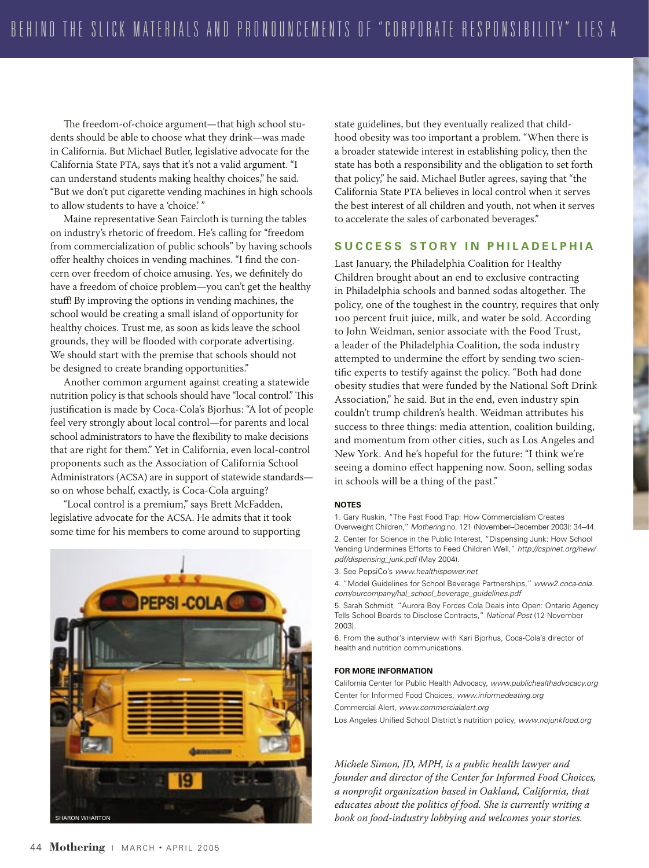The freedom-of-choice argument—that high school students should be able to choose what they drink—was made in California. But Michael Butler, legislative advocate for the California State PTA, says that it's not a valid argument. "I can understand students making healthy choices," he said. "But we don't put cigarette vending machines in high schools to allow students to have a 'choice.' "

Maine representative Sean Faircloth is turning the tables on industry's rhetoric of freedom. He's calling for "freedom from commercialization of public schools" by having schools offer healthy choices in vending machines. "I find the concern over freedom of choice amusing. Yes, we definitely do have a freedom of choice problem—you can't get the healthy stuff! By improving the options in vending machines, the school would be creating a small island of opportunity for healthy choices. Trust me, as soon as kids leave the school grounds, they will be flooded with corporate advertising. We should start with the premise that schools should not be designed to create branding opportunities."

Another common argument against creating a statewide nutrition policy is that schools should have "local control." This justification is made by Coca-Cola's Bjorhus: "A lot of people feel very strongly about local control—for parents and local school administrators to have the flexibility to make decisions that are right for them." Yet in California, even local-control proponents such as the Association of California School Administrators (ACSA) are in support of statewide standards so on whose behalf, exactly, is Coca-Cola arguing?

"Local control is a premium," says Brett McFadden, legislative advocate for the ACSA. He admits that it took some time for his members to come around to supporting



state guidelines, but they eventually realized that childhood obesity was too important a problem. "When there is a broader statewide interest in establishing policy, then the state has both a responsibility and the obligation to set forth that policy," he said. Michael Butler agrees, saying that "the California State PTA believes in local control when it serves the best interest of all children and youth, not when it serves to accelerate the sales of carbonated beverages."

### **S U C C E S S S T O R Y I N P H I L A D E L P H I A**

Last January, the Philadelphia Coalition for Healthy Children brought about an end to exclusive contracting in Philadelphia schools and banned sodas altogether. The policy, one of the toughest in the country, requires that only 100 percent fruit juice, milk, and water be sold. According to John Weidman, senior associate with the Food Trust, a leader of the Philadelphia Coalition, the soda industry attempted to undermine the effort by sending two scientific experts to testify against the policy. "Both had done obesity studies that were funded by the National Soft Drink Association," he said. But in the end, even industry spin couldn't trump children's health. Weidman attributes his success to three things: media attention, coalition building, and momentum from other cities, such as Los Angeles and New York. And he's hopeful for the future: "I think we're seeing a domino effect happening now. Soon, selling sodas in schools will be a thing of the past."

### **NOTES**

1. Gary Ruskin, "The Fast Food Trap: How Commercialism Creates

Overweight Children," Mothering no. 121 (November–December 2003): 34–44. 2. Center for Science in the Public Interest, "Dispensing Junk: How School Vending Undermines Efforts to Feed Children Well," http://cspinet.org/new/ pdf/dispensing\_junk.pdf (May 2004).

3. See PepsiCo's www.healthispower.net

4. "Model Guidelines for School Beverage Partnerships," www2.coca-cola. com/ourcompany/hal\_school\_beverage\_guidelines.pdf

5. Sarah Schmidt, "Aurora Boy Forces Cola Deals into Open: Ontario Agency Tells School Boards to Disclose Contracts," National Post (12 November 2003).

6. From the author's interview with Kari Bjorhus, Coca-Cola's director of health and nutrition communications.

### **FOR MORE INFORMATION**

California Center for Public Health Advocacy, www.publichealthadvocacy.org Center for Informed Food Choices, www.informedeating.org

Commercial Alert, www.commercialalert.org

Los Angeles Unified School District's nutrition policy, www.nojunkfood.org

*Michele Simon, JD, MPH, is a public health lawyer and founder and director of the Center for Informed Food Choices, a nonprofit organization based in Oakland, California, that educates about the politics of food. She is currently writing a book on food-industry lobbying and welcomes your stories.*